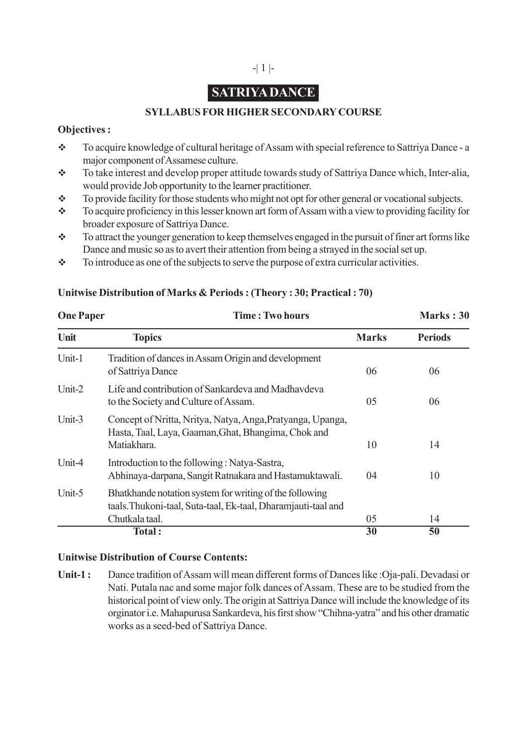# -| 1 |-

# **SATRIYA DANCE**

# **SYLLABUS FOR HIGHER SECONDARY COURSE**

#### **Objectives :**

- \* To acquire knowledge of cultural heritage of Assam with special reference to Sattriya Dance a major component of Assamese culture.
- \* To take interest and develop proper attitude towards study of Sattriya Dance which, Inter-alia, would provide Job opportunity to the learner practitioner.
- \* To provide facility for those students who might not opt for other general or vocational subjects.
- \* To acquire proficiency in this lesser known art form of Assam with a view to providing facility for broader exposure of Sattriya Dance.
- To attract the younger generation to keep themselves engaged in the pursuit of finer art forms like Dance and music so as to avert their attention from being a strayed in the social set up.
- $\bullet$  To introduce as one of the subjects to serve the purpose of extra curricular activities.

| <b>One Paper</b> | <b>Time: Two hours</b>                                                                                                                     |              | Marks: 30      |
|------------------|--------------------------------------------------------------------------------------------------------------------------------------------|--------------|----------------|
| Unit             | <b>Topics</b>                                                                                                                              | <b>Marks</b> | <b>Periods</b> |
| Unit-1           | Tradition of dances in Assam Origin and development<br>of Sattriya Dance                                                                   | 06           | 06             |
| Unit- $2$        | Life and contribution of Sankardeva and Madhaydeva<br>to the Society and Culture of Assam.                                                 | 05           | 06             |
| Unit-3           | Concept of Nritta, Nritya, Natya, Anga, Pratyanga, Upanga,<br>Hasta, Taal, Laya, Gaaman, Ghat, Bhangima, Chok and<br>Matiakhara.           | 10           | 14             |
| Unit-4           | Introduction to the following: Natya-Sastra,<br>Abhinaya-darpana, Sangit Ratnakara and Hastamuktawali.                                     | 04           | 10             |
| Unit-5           | Bhatkhande notation system for writing of the following<br>taals. Thukoni-taal, Suta-taal, Ek-taal, Dharamjauti-taal and<br>Chutkala taal. | 05           | 14             |
|                  | Total:                                                                                                                                     | 30           | 50             |

## **Unitwise Distribution of Marks & Periods : (Theory : 30; Practical : 70)**

## **Unitwise Distribution of Course Contents:**

**Unit-1 :** Dance tradition of Assam will mean different forms of Dances like :Oja-pali. Devadasi or Nati. Putala nac and some major folk dances of Assam. These are to be studied from the historical point of view only. The origin at Sattriya Dance will include the knowledge of its orginator i.e. Mahapurusa Sankardeva, his first show "Chihna-yatra" and his other dramatic works as a seed-bed of Sattriya Dance.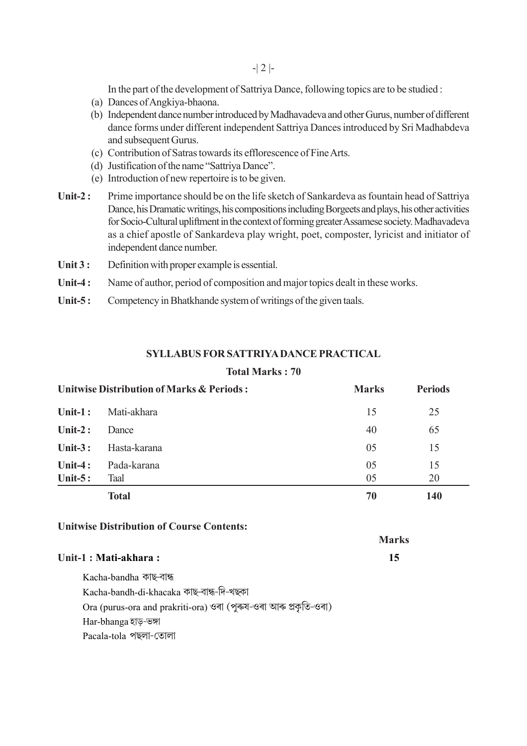In the part of the development of Sattriya Dance, following topics are to be studied :

- (a) Dances of Angkiya-bhaona.
- (b) Independent dance number introduced by Madhavadeva and other Gurus, number of different dance forms under different independent Sattriya Dances introduced by Sri Madhabdeva and subsequent Gurus.
- (c) Contribution of Satras towards its efflorescence of Fine Arts.
- (d) Justification of the name "Sattriya Dance".
- (e) Introduction of new repertoire is to be given.
- **Unit-2 :** Prime importance should be on the life sketch of Sankardeva as fountain head of Sattriya Dance, his Dramatic writings, his compositions including Borgeets and plays, his other activities for Socio-Cultural upliftment in the context of forming greater Assamese society. Madhavadeva as a chief apostle of Sankardeva play wright, poet, composter, lyricist and initiator of independent dance number.
- Unit 3 : Definition with proper example is essential.
- **Unit-4 :** Name of author, period of composition and major topics dealt in these works.
- **Unit-5 :** Competency in Bhatkhande system of writings of the given taals.

#### **SYLLABUS FOR SATTRIYA DANCE PRACTICAL**

#### **Total Marks : 70**

| Unitwise Distribution of Marks & Periods: |                     | <b>Marks</b> | <b>Periods</b> |
|-------------------------------------------|---------------------|--------------|----------------|
| Unit-1:                                   | Mati-akhara         | 15           | 25             |
| Unit- $2:$                                | Dance               | 40           | 65             |
| Unit- $3:$                                | Hasta-karana        | 05           | 15             |
| Unit-4:<br>Unit- $5:$                     | Pada-karana<br>Taal | 05<br>05     | 15<br>20       |
|                                           | <b>Total</b>        | 70           | <b>140</b>     |

**Marks**

#### **Unitwise Distribution of Course Contents:**

| Unit-1 : Mati-akhara : |  |
|------------------------|--|

Kacha-bandha কাছ-বান্ধ Kacha-bandh-di-khacaka কাছ-বান্ধ-দি-খছকা Ora (purus-ora and prakriti-ora) ওৰা (পুৰুষ-ওৰা আৰু প্ৰকৃতি-ওৰা) Har-bhanga হাড-ভঙ্গা Pacala-tola পছলা-তোলা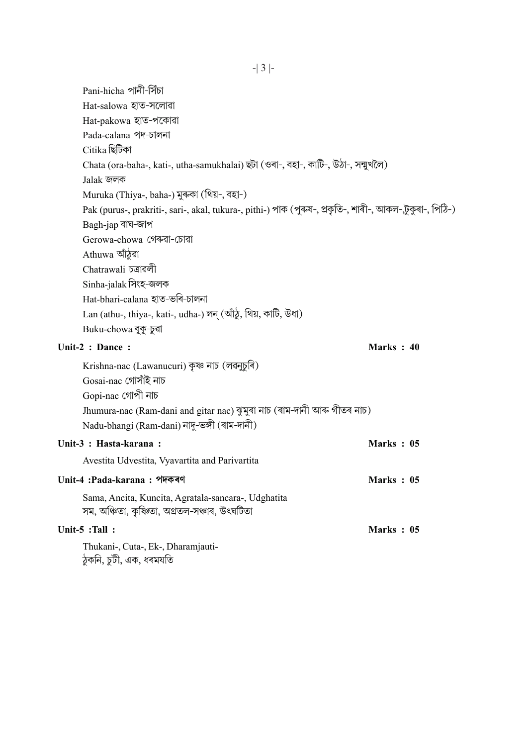Pani-hicha পানী-সিঁচা Hat-salowa হাত-সলোৱা Hat-pakowa হাত-পকোৱা Pada-calana পদ-চালনা Citika ছিটিকা Chata (ora-baha-, kati-, utha-samukhalai) ছটা (ওৰা-, বহা-, কাটি-, উঠা-, সন্মুখলৈ) Jalak জলক Muruka (Thiya-, baha-) মুৰুকা (থিয়-, বহা-) Pak (purus-, prakriti-, sari-, akal, tukura-, pithi-) পাক (পুৰুষ-, প্ৰকৃতি-, শাৰী-, আকল-,টুকুৰা-, পিঠি-) Bagh-jap বাঘ-জাপ Gerowa-chowa গেৰুৱা-চোৱা Athuwa আঁঠুৱা Chatrawali ঢ়্রাৱলী Sinha-jalak সিংহ-জলক Hat-bhari-calana হাত-ভৰি-চালনা Lan (athu-, thiya-, kati-, udha-) লন্ (আঁঠু, থিয়, কাটি, উধা) Buku-chowa বুকু-চুৰা **Unit-2 : Dance : Marks : 40** Krishna-nac (Lawanucuri) কৃষ্ণ নাচ (লৱনুচুৰি) Gosai-nac গোসাঁই নাচ Gopi-nac গোপী নাচ Jhumura-nac (Ram-dani and gitar nac) ঝুমুৰা নাচ (ৰাম-দানী আৰু গীতৰ নাচ) Nadu-bhangi (Ram-dani) নাদু-ভঙ্গী (ৰাম-দানী) **Unit-3 : Hasta-karana : Marks : 05** Avestita Udvestita, Vyavartita and Parivartita **Unit-4 :Pada-karana : ¬Û√fl¡1Ì Marks : 05** Sama, Ancita, Kuncita, Agratala-sancara-, Udghatita সম, অঞ্চিতা, কৃষিতা, অগ্ৰতল-সঞ্চাৰ, উৎঘটিতা **Unit-5 :Tall : Marks : 05** Thukani-, Cuta-, Ek-, Dharamjauti- $\delta$ ুকনি, চুটী, এক, ধৰমযতি